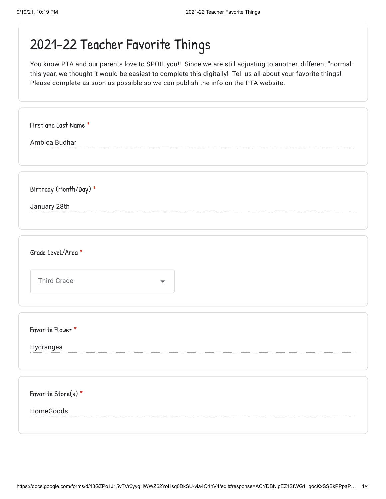| Ambica Budhar          |  |
|------------------------|--|
|                        |  |
|                        |  |
| Birthday (Month/Day) * |  |
| January 28th           |  |
|                        |  |
|                        |  |
| Grade Level/Area *     |  |
|                        |  |
| <b>Third Grade</b>     |  |
|                        |  |
|                        |  |
| Favorite Flower *      |  |
| Hydrangea              |  |
|                        |  |
|                        |  |
| Favorite Store(s) *    |  |
| HomeGoods              |  |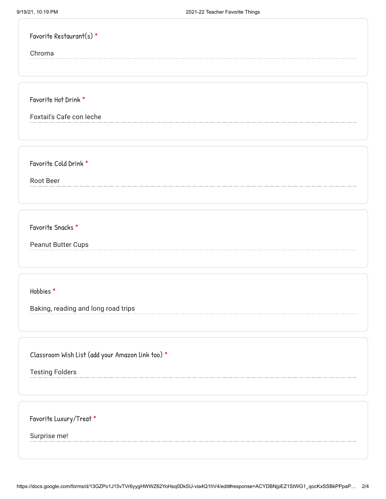| Favorite Restaurant(s) $*$ |  |
|----------------------------|--|
|----------------------------|--|

Chroma

Favorite Hot Drink \*

Foxtail's Cafe con leche

Favorite Cold Drink \*

Root Beer

Favorite Snacks \*

Peanut Butter Cups

Hobbies \*

Baking, reading and long road trips

Classroom Wish List (add your Amazon link too) \*

Testing Folders

Favorite Luxury/Treat \*

Surprise me!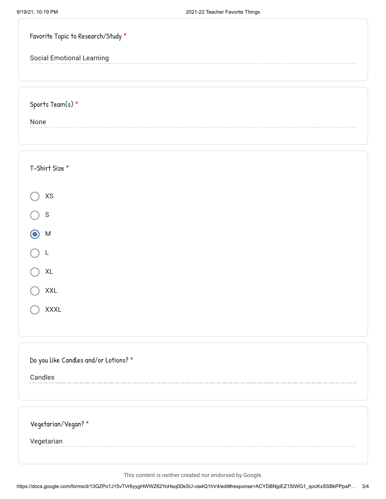| Favorite Topic to Research/Study *    |
|---------------------------------------|
| <b>Social Emotional Learning</b>      |
|                                       |
| Sports Team(s) *                      |
| None                                  |
|                                       |
|                                       |
| T-Shirt Size *                        |
| $\mathsf{X}\mathsf{S}$                |
| $\mathsf S$                           |
| M                                     |
| L                                     |
| XL                                    |
| <b>XXL</b>                            |
| <b>XXXL</b>                           |
|                                       |
|                                       |
| Do you like Candles and/or Lotions? * |
| Candles                               |
|                                       |
|                                       |
| Vegetarian/Vegan?*                    |
| Vegetarian                            |
|                                       |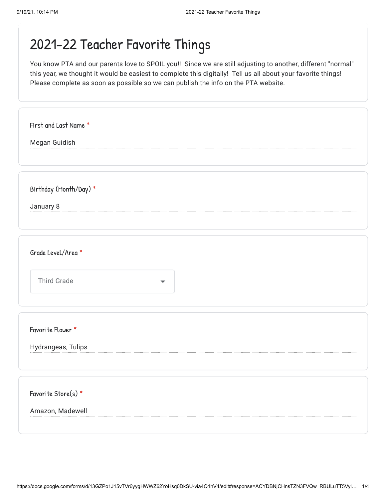| First and Last Name *  |
|------------------------|
| Megan Guidish          |
|                        |
|                        |
| Birthday (Month/Day) * |
| January 8              |
|                        |
|                        |
| Grade Level/Area *     |
|                        |
| <b>Third Grade</b>     |
|                        |
| Favorite Flower *      |
|                        |
| Hydrangeas, Tulips     |
|                        |
| Favorite Store(s) *    |
| Amazon, Madewell       |
|                        |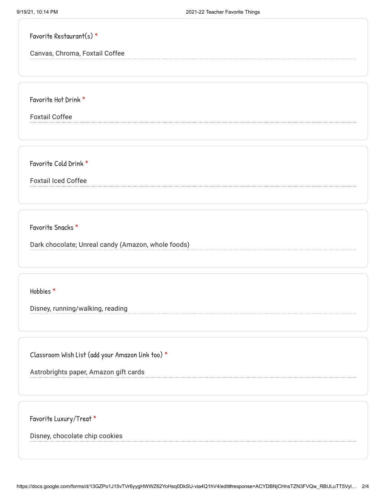|  | Favorite Restaurant(s) $*$ |  |
|--|----------------------------|--|
|--|----------------------------|--|

Canvas, Chroma, Foxtail Coffee

Favorite Hot Drink \*

Foxtail Coffee

Favorite Cold Drink \*

Foxtail Iced Coffee

Favorite Snacks \*

Dark chocolate; Unreal candy (Amazon, whole foods)

Hobbies \*

Disney, running/walking, reading

Classroom Wish List (add your Amazon link too) \*

Astrobrights paper, Amazon gift cards

Favorite Luxury/Treat \*

Disney, chocolate chip cookies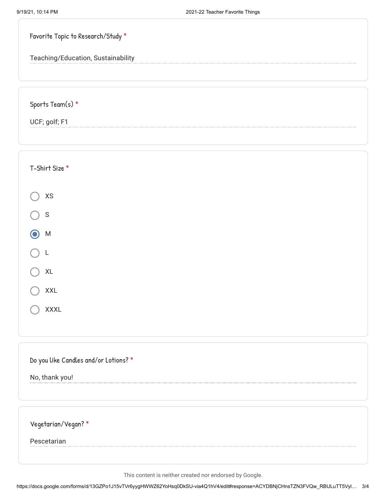| Favorite Topic to Research/Study *    |
|---------------------------------------|
| Teaching/Education, Sustainability    |
|                                       |
| Sports Team(s) $*$                    |
| UCF; golf; F1                         |
|                                       |
| T-Shirt Size *                        |
| $\mathsf{X}\mathsf{S}$                |
| $\mathsf S$                           |
| M                                     |
| L                                     |
| XL                                    |
| <b>XXL</b>                            |
| <b>XXXL</b>                           |
|                                       |
| Do you like Candles and/or Lotions? * |
| No, thank you!                        |
|                                       |
| Vegetarian/Vegan? *                   |
| Pescetarian                           |
|                                       |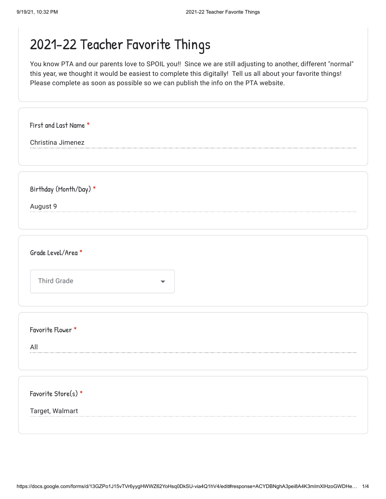| First and Last Name *  |   |
|------------------------|---|
| Christina Jimenez      |   |
|                        |   |
|                        |   |
| Birthday (Month/Day) * |   |
| August 9               |   |
|                        |   |
|                        |   |
| Grade Level/Area *     |   |
| <b>Third Grade</b>     |   |
|                        | ▼ |
|                        |   |
| Favorite Flower *      |   |
| All                    |   |
|                        |   |
|                        |   |
| Favorite Store(s) *    |   |
| Target, Walmart        |   |
|                        |   |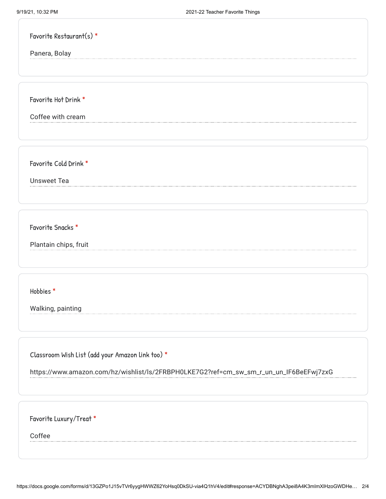| Favorite Restaurant(s) *                                                               |
|----------------------------------------------------------------------------------------|
| Panera, Bolay                                                                          |
|                                                                                        |
|                                                                                        |
| Favorite Hot Drink *                                                                   |
| Coffee with cream                                                                      |
|                                                                                        |
|                                                                                        |
| Favorite Cold Drink *                                                                  |
| <b>Unsweet Tea</b>                                                                     |
|                                                                                        |
|                                                                                        |
| Favorite Snacks *                                                                      |
| Plantain chips, fruit                                                                  |
|                                                                                        |
|                                                                                        |
| Hobbies*                                                                               |
|                                                                                        |
| Walking, painting                                                                      |
|                                                                                        |
|                                                                                        |
| Classroom Wish List (add your Amazon link too) *                                       |
| https://www.amazon.com/hz/wishlist/ls/2FRBPH0LKE7G2?ref=cm_sw_sm_r_un_un_lF6BeEFwj7zxG |
|                                                                                        |
|                                                                                        |
| Favorite Luxury/Treat *                                                                |
| Coffee                                                                                 |
|                                                                                        |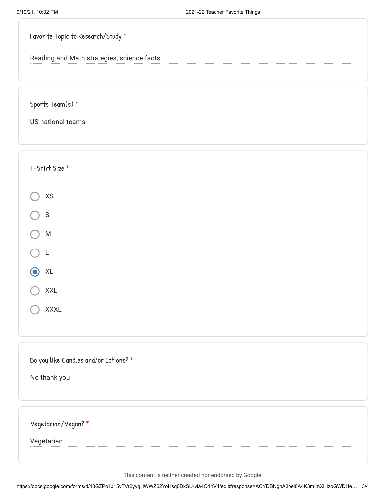| Favorite Topic to Research/Study *         |  |
|--------------------------------------------|--|
| Reading and Math strategies, science facts |  |
|                                            |  |
| Sports Team(s) *                           |  |

US national teams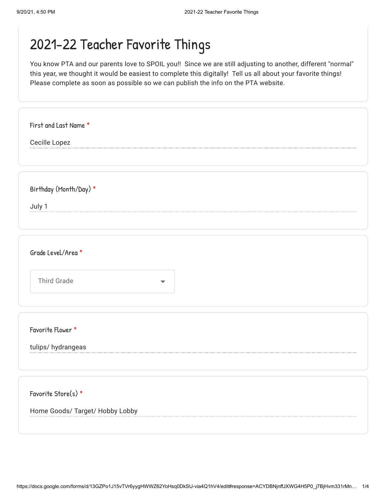| First and Last Name *           |                      |
|---------------------------------|----------------------|
| Cecille Lopez                   |                      |
|                                 |                      |
|                                 |                      |
| Birthday (Month/Day) *          |                      |
| July 1                          |                      |
|                                 |                      |
|                                 |                      |
| Grade Level/Area *              |                      |
| <b>Third Grade</b>              | $\blacktriangledown$ |
|                                 |                      |
| Favorite Flower *               |                      |
| tulips/ hydrangeas              |                      |
|                                 |                      |
|                                 |                      |
| Favorite Store(s) *             |                      |
| Home Goods/ Target/ Hobby Lobby |                      |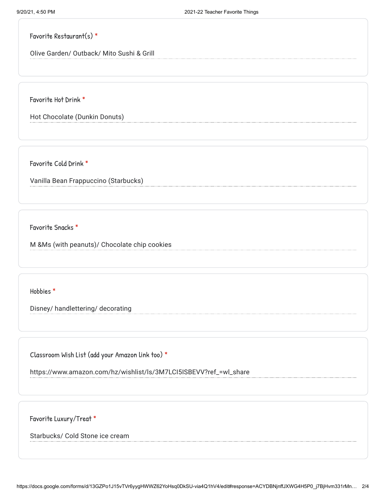## Favorite Restaurant(s) \*

Olive Garden/ Outback/ Mito Sushi & Grill

Favorite Hot Drink \*

Hot Chocolate (Dunkin Donuts)

Favorite Cold Drink \*

Vanilla Bean Frappuccino (Starbucks)

Favorite Snacks \*

M &Ms (with peanuts)/ Chocolate chip cookies

Hobbies \*

Disney/ handlettering/ decorating

Classroom Wish List (add your Amazon link too) \*

https://www.amazon.com/hz/wishlist/ls/3M7LCI5ISBEVV?ref\_=wl\_share

Favorite Luxury/Treat \*

Starbucks/ Cold Stone ice cream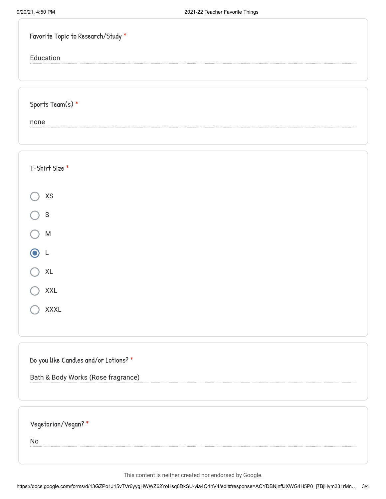| Favorite Topic to Research/Study *    |  |
|---------------------------------------|--|
| Education                             |  |
|                                       |  |
| Sports Team(s) $*$                    |  |
| none                                  |  |
|                                       |  |
|                                       |  |
| T-Shirt Size *                        |  |
| XS                                    |  |
| ${\mathsf S}$                         |  |
| M                                     |  |
| L                                     |  |
| $\mathsf{XL}$                         |  |
| <b>XXL</b>                            |  |
| <b>XXXL</b>                           |  |
|                                       |  |
|                                       |  |
| Do you like Candles and/or Lotions? * |  |
| Bath & Body Works (Rose fragrance)    |  |
|                                       |  |
| Vegetarian/Vegan? *                   |  |
| <b>No</b>                             |  |
|                                       |  |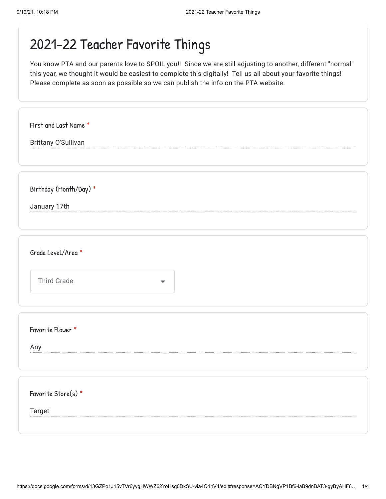| First and Last Name *  |  |
|------------------------|--|
| Brittany O'Sullivan    |  |
|                        |  |
|                        |  |
|                        |  |
| Birthday (Month/Day) * |  |
| January 17th           |  |
|                        |  |
|                        |  |
|                        |  |
| Grade Level/Area *     |  |
|                        |  |
| <b>Third Grade</b>     |  |
|                        |  |
|                        |  |
|                        |  |
| Favorite Flower *      |  |
| Any                    |  |
|                        |  |
|                        |  |
|                        |  |
| Favorite Store(s) *    |  |
| Target                 |  |
|                        |  |
|                        |  |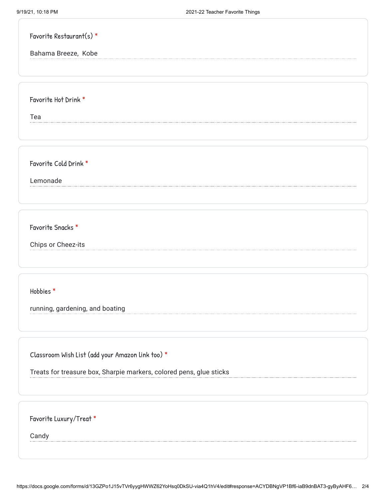| Favorite Restaurant(s) * |  |  |
|--------------------------|--|--|
| Bahama Breeze, Kobe      |  |  |
|                          |  |  |
|                          |  |  |
| Favorite Hot Drink *     |  |  |
| Tea                      |  |  |
|                          |  |  |
|                          |  |  |
| Favorite Cold Drink *    |  |  |
| Lemonade                 |  |  |
|                          |  |  |
|                          |  |  |
| Favorite Snacks *        |  |  |

Chips or Cheez-its

Hobbies \*

running, gardening, and boating

Classroom Wish List (add your Amazon link too) \*

Treats for treasure box, Sharpie markers, colored pens, glue sticks

Favorite Luxury/Treat \*

Candy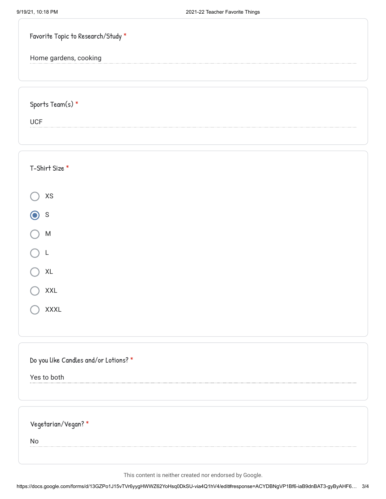| Home gardens, cooking<br>Sports Team(s) *<br><b>UCF</b><br>T-Shirt Size *<br>$\mathsf{X}\mathsf{S}$<br>$\mathsf S$<br>${\sf M}$<br>$\mathsf{XL}$<br><b>XXL</b><br><b>XXXL</b><br>Do you like Candles and/or Lotions? *<br>Yes to both<br>Vegetarian/Vegan? * | Favorite Topic to Research/Study * |
|--------------------------------------------------------------------------------------------------------------------------------------------------------------------------------------------------------------------------------------------------------------|------------------------------------|
|                                                                                                                                                                                                                                                              |                                    |
|                                                                                                                                                                                                                                                              |                                    |
|                                                                                                                                                                                                                                                              |                                    |
|                                                                                                                                                                                                                                                              |                                    |
|                                                                                                                                                                                                                                                              |                                    |
|                                                                                                                                                                                                                                                              |                                    |
|                                                                                                                                                                                                                                                              |                                    |
|                                                                                                                                                                                                                                                              |                                    |
|                                                                                                                                                                                                                                                              |                                    |
|                                                                                                                                                                                                                                                              |                                    |
|                                                                                                                                                                                                                                                              |                                    |
|                                                                                                                                                                                                                                                              |                                    |
|                                                                                                                                                                                                                                                              |                                    |
|                                                                                                                                                                                                                                                              |                                    |
|                                                                                                                                                                                                                                                              |                                    |
|                                                                                                                                                                                                                                                              |                                    |
|                                                                                                                                                                                                                                                              |                                    |
|                                                                                                                                                                                                                                                              |                                    |
|                                                                                                                                                                                                                                                              |                                    |
|                                                                                                                                                                                                                                                              |                                    |
| No                                                                                                                                                                                                                                                           |                                    |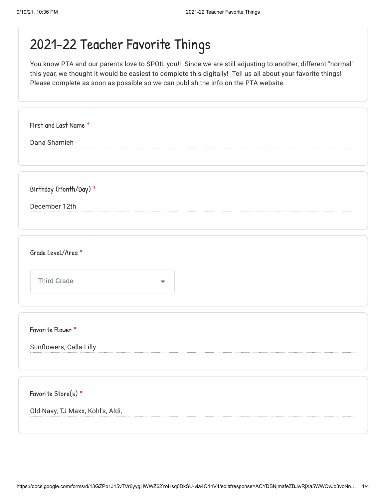| First and Last Name *                          |  |
|------------------------------------------------|--|
| Dana Shamieh                                   |  |
|                                                |  |
|                                                |  |
| Birthday (Month/Day) *                         |  |
| December 12th                                  |  |
|                                                |  |
|                                                |  |
| Grade Level/Area *                             |  |
|                                                |  |
| <b>Third Grade</b><br>$\overline{\phantom{a}}$ |  |
|                                                |  |
|                                                |  |
| Favorite Flower *                              |  |
| Sunflowers, Calla Lilly                        |  |
|                                                |  |
|                                                |  |
| Favorite Store(s) *                            |  |
| Old Navy, TJ Maxx, Kohl's, Aldi,               |  |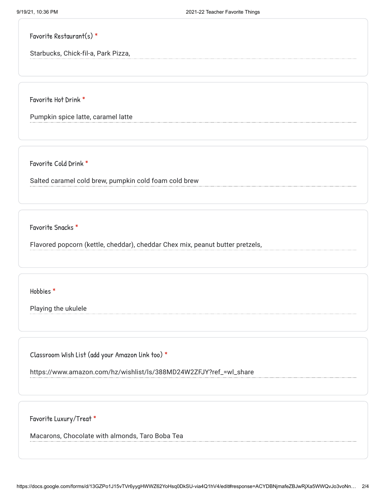Favorite Restaurant(s) \*

Starbucks, Chick-fil-a, Park Pizza,

Favorite Hot Drink \*

Pumpkin spice latte, caramel latte

Favorite Cold Drink \*

Salted caramel cold brew, pumpkin cold foam cold brew

Favorite Snacks \*

Flavored popcorn (kettle, cheddar), cheddar Chex mix, peanut butter pretzels,

Hobbies \*

Playing the ukulele

Classroom Wish List (add your Amazon link too) \*

https://www.amazon.com/hz/wishlist/ls/388MD24W2ZFJY?ref\_=wl\_share

Favorite Luxury/Treat \*

Macarons, Chocolate with almonds, Taro Boba Tea